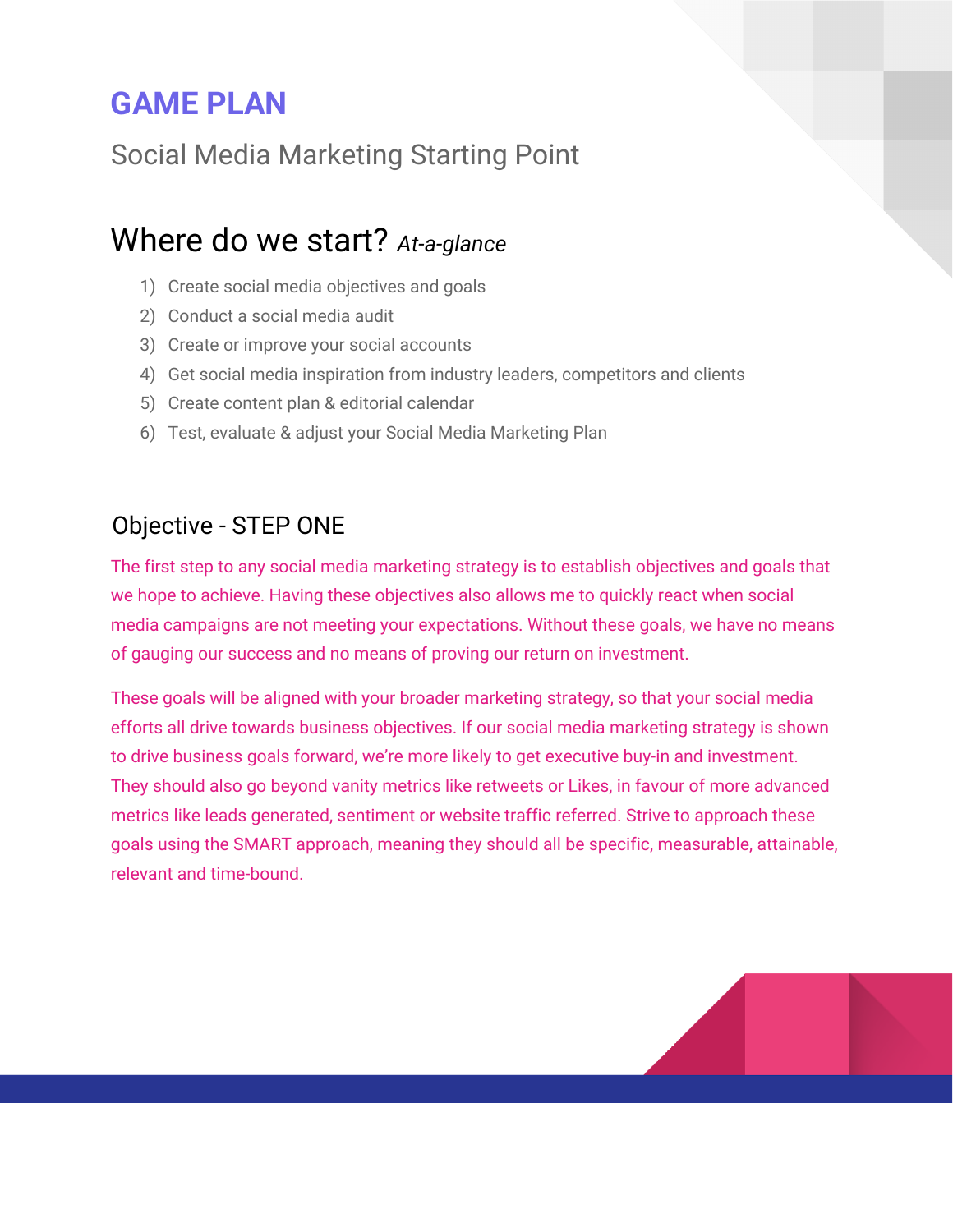# **GAME PLAN**

Social Media Marketing Starting Point

# Where do we start? *At-a-glance*

- 1) Create social media objectives and goals
- 2) Conduct a social media audit
- 3) Create or improve your social accounts
- 4) Get social media inspiration from industry leaders, competitors and clients
- 5) Create content plan & editorial calendar
- 6) Test, evaluate & adjust your Social Media Marketing Plan

### Objective - STEP ONE

The first step to any social media marketing strategy is to establish objectives and goals that we hope to achieve. Having these objectives also allows me to quickly react when social media campaigns are not meeting your expectations. Without these goals, we have no means of gauging our success and no means of proving our return on investment.

These goals will be aligned with your broader marketing strategy, so that your social media efforts all drive towards business objectives. If our social media marketing strategy is shown to drive business goals forward, we're more likely to get executive buy-in and investment. They should also go beyond vanity metrics like retweets or Likes, in favour of more advanced metrics like leads generated, sentiment or website traffic referred. Strive to approach these goals using the SMART approach, meaning they should all be specific, measurable, attainable, relevant and time-bound.

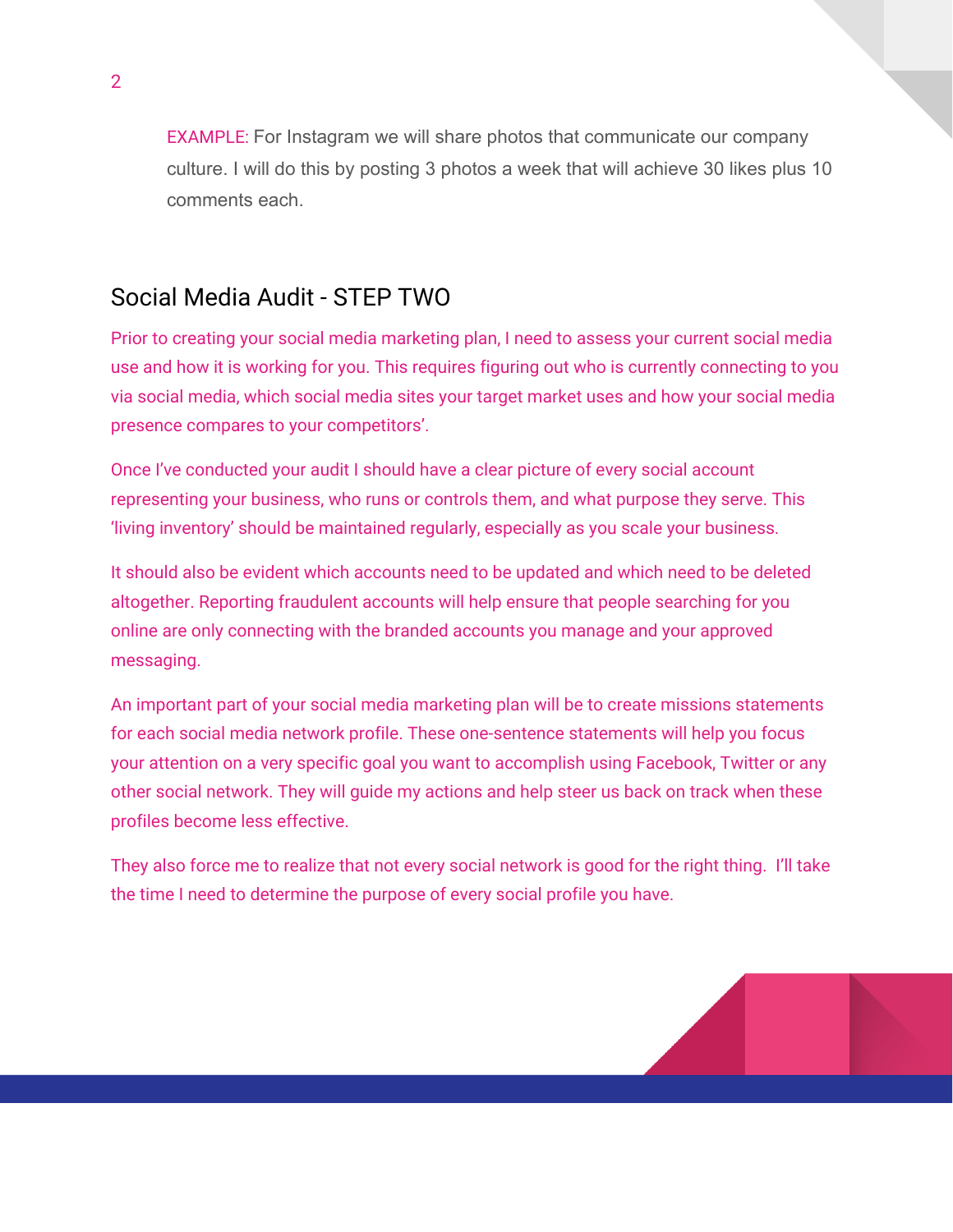EXAMPLE: For Instagram we will share photos that communicate our company culture. I will do this by posting 3 photos a week that will achieve 30 likes plus 10 comments each.

#### Social Media Audit - STEP TWO

Prior to creating your social media marketing plan, I need to assess your current social media use and how it is working for you. This requires figuring out who is currently connecting to you via social media, which social media sites your target market uses and how your social media presence compares to your competitors'.

Once I've conducted your audit I should have a clear picture of every social account representing your business, who runs or controls them, and what purpose they serve. This 'living inventory' should be maintained regularly, especially as you scale your business.

It should also be evident which accounts need to be updated and which need to be deleted altogether. Reporting fraudulent accounts will help ensure that people searching for you online are only connecting with the branded accounts you manage and your approved messaging.

An important part of your social media marketing plan will be to create missions statements for each social media network profile. These one-sentence statements will help you focus your attention on a very specific goal you want to accomplish using Facebook, Twitter or any other social network. They will guide my actions and help steer us back on track when these profiles become less effective.

They also force me to realize that not every social network is good for the right thing. I'll take the time I need to determine the purpose of every social profile you have.

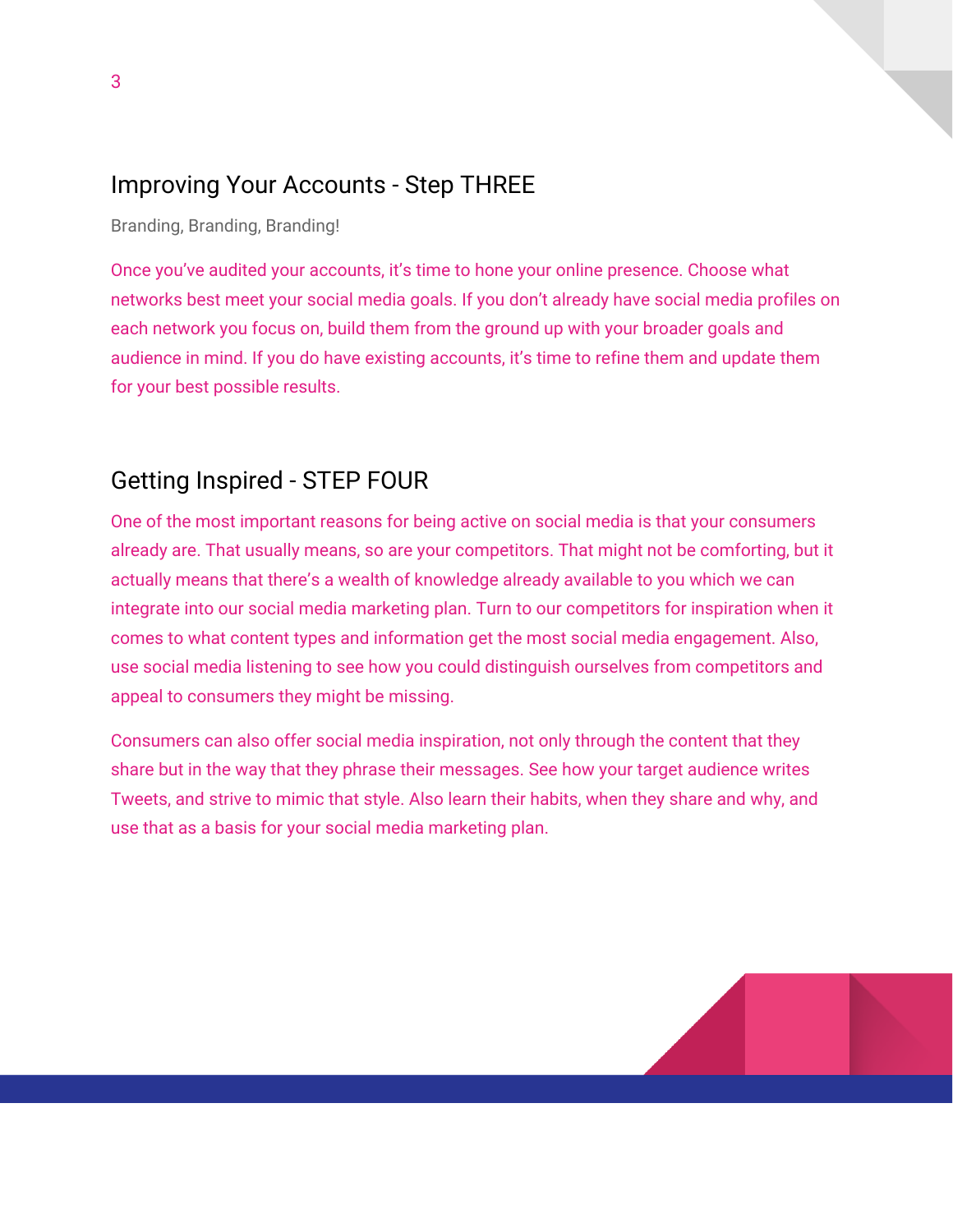#### Improving Your Accounts - Step THREE

Branding, Branding, Branding!

Once you've audited your accounts, it's time to hone your online presence. Choose what networks best meet your social media goals. If you don't already have social media profiles on each network you focus on, build them from the ground up with your broader goals and audience in mind. If you do have existing accounts, it's time to refine them and update them for your best possible results.

### Getting Inspired - STEP FOUR

One of the most important reasons for being active on social media is that your consumers already are. That usually means, so are your competitors. That might not be comforting, but it actually means that there's a wealth of knowledge already available to you which we can integrate into our social media marketing plan. Turn to our competitors for inspiration when it comes to what content types and information get the most social media engagement. Also, use social media listening to see how you could distinguish ourselves from competitors and appeal to consumers they might be missing.

Consumers can also offer social media inspiration, not only through the content that they share but in the way that they phrase their messages. See how your target audience writes Tweets, and strive to mimic that style. Also learn their habits, when they share and why, and use that as a basis for your social media marketing plan.

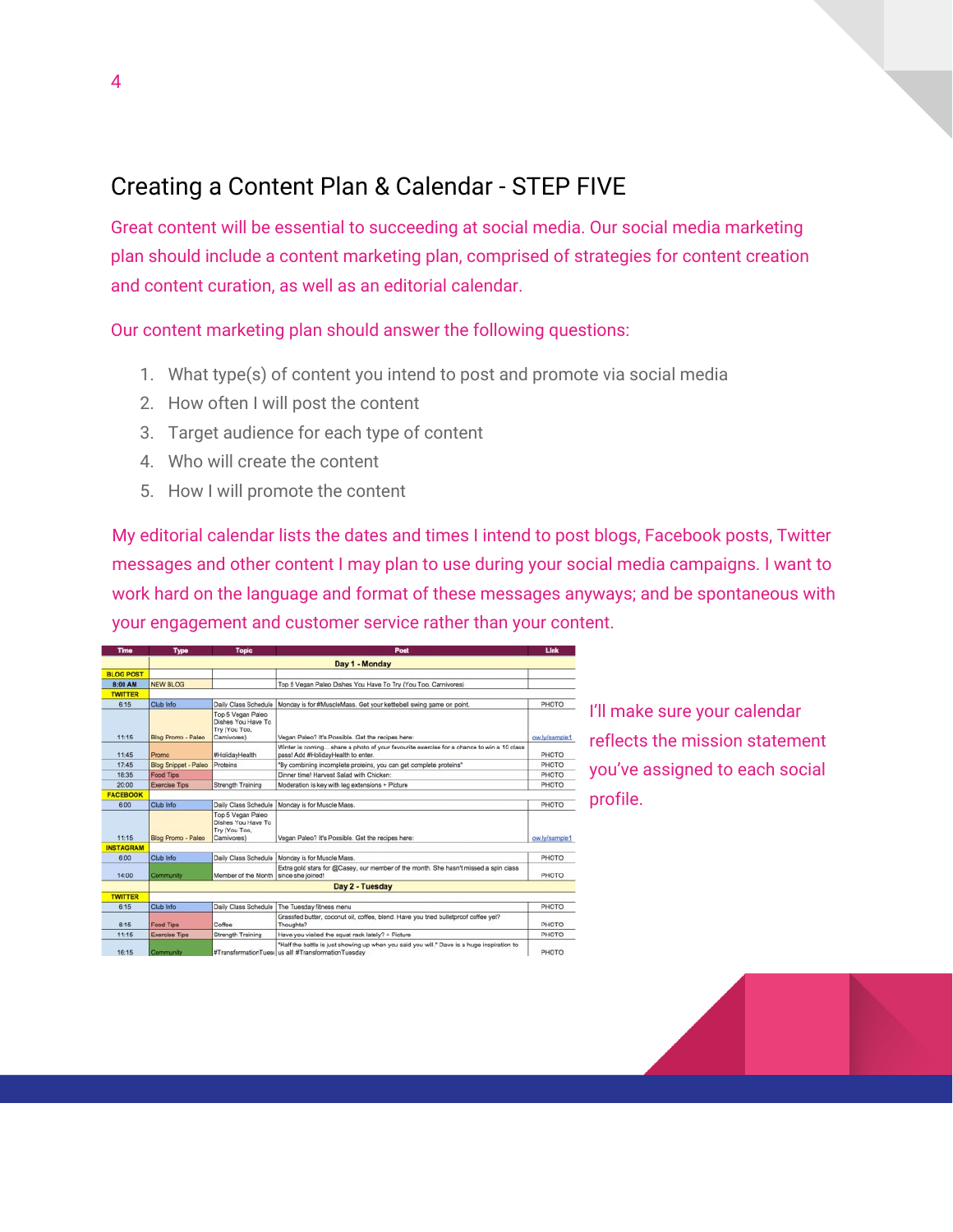## Creating a Content Plan & Calendar - STEP FIVE

Great content will be essential to succeeding at social media. Our social media marketing plan should include a content marketing plan, comprised of strategies for content creation and content curation, as well as an editorial calendar.

Our content marketing plan should answer the following questions:

- 1. What type(s) of content you intend to post and promote via social media
- 2. How often I will post the content
- 3. Target audience for each type of content
- 4. Who will create the content
- 5. How I will promote the content

My editorial calendar lists the dates and times I intend to post blogs, Facebook posts, Twitter messages and other content I may plan to use during your social media campaigns. I want to work hard on the language and format of these messages anyways; and be spontaneous with your engagement and customer service rather than your content.

| <b>Time</b>      | <b>Type</b>          | <b>Topic</b>                                                           | Post                                                                                                                                              | Link          |
|------------------|----------------------|------------------------------------------------------------------------|---------------------------------------------------------------------------------------------------------------------------------------------------|---------------|
|                  | Day 1 - Monday       |                                                                        |                                                                                                                                                   |               |
| <b>BLOG POST</b> |                      |                                                                        |                                                                                                                                                   |               |
| 8:00 AM          | NEW BLOG             |                                                                        | Top 5 Vegan Paleo Dishes You Have To Try (You Too, Carnivores)                                                                                    |               |
| <b>TWITTER</b>   |                      |                                                                        |                                                                                                                                                   |               |
| 6:15             | Club Info            | Daily Class Schedule                                                   | Monday is for #MuscleMass. Get your kettlebell swing game on point.                                                                               | PHOTO         |
| 11:15            | Blog Promo - Paleo   | Top 5 Vegan Paleo<br>Dishes You Have To<br>Try (You Too,<br>Camivores) | Vegan Paleo? It's Possible. Get the recipes here:                                                                                                 | ow.lv/sample1 |
| 11:45            | Promo                | #HolidayHealth                                                         | Winter is coming share a photo of your favourite exercise for a chance to win a 10 class<br>pass! Add #HolidayHealth to enter.                    | PHOTO         |
| 17:45            | Blog Snippet - Paleo | Proteins                                                               | "By combining incomplete proteins, you can get complete proteins"                                                                                 | PHOTO         |
| 18:35            | Food Tips            |                                                                        | Dinner time! Harvest Salad with Chicken:                                                                                                          | PHOTO         |
| 20:00            | <b>Exercise Tips</b> | Strength Training                                                      | Moderation is key with leg extensions + Picture                                                                                                   | PHOTO         |
| <b>FACEBOOK</b>  |                      |                                                                        |                                                                                                                                                   |               |
| 6:00             | Club Info            | Daily Class Schedule                                                   | Monday is for Muscle Mass.                                                                                                                        | PHOTO         |
| 11:15            | Blog Promo - Paleo   | Top 5 Vegan Paleo<br>Dishes You Have To<br>Try (You Too,<br>Camivores) | Vegan Paleo? It's Possible. Get the recipes here:                                                                                                 | ow.ly/sample1 |
| <b>INSTAGRAM</b> |                      |                                                                        |                                                                                                                                                   |               |
| 6:00             | Club Info            | Daily Class Schedule                                                   | Monday is for Muscle Mass.                                                                                                                        | PHOTO         |
| 14:00            | Community            | Member of the Month   since she joined!                                | Extra gold stars for @Casey, our member of the month. She hasn't missed a spin class                                                              | PHOTO         |
|                  | Day 2 - Tuesday      |                                                                        |                                                                                                                                                   |               |
| <b>TWITTER</b>   |                      |                                                                        |                                                                                                                                                   |               |
| 6:15             | Club Info            | Daily Class Schedule                                                   | The Tuesday filness menu                                                                                                                          | PHOTO         |
| 8:15             | <b>Food Tips</b>     | Coffee                                                                 | Grassfed butter, coconut oil, coffee, blend. Have you tried bulletproof coffee yet?<br>Thoughts?                                                  | PHOTO         |
| 11:15            | <b>Exercise Tips</b> | Strength Training                                                      | Have you visited the squat rack lately? + Picture                                                                                                 | PHOTO         |
| 16:15            | Community            |                                                                        | "Half the battle is just showing up when you said you will." Dave is a huge inspiration to<br>#TransformationTues( us all! #TransformationTuesday | PHOTO         |

- I'll make sure your calendar **ELECT FIELD THE MISSION STATEMENT** you've assigned to each social  $\equiv$  profile.